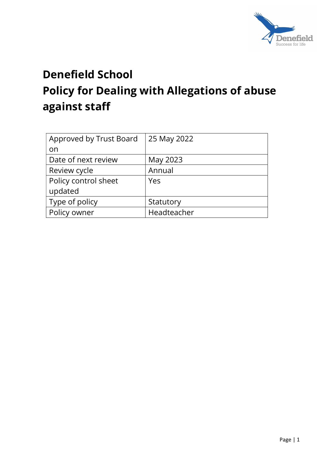

# Denefield School Policy for Dealing with Allegations of abuse against staff

| Approved by Trust Board | 25 May 2022 |
|-------------------------|-------------|
| on                      |             |
| Date of next review     | May 2023    |
| Review cycle            | Annual      |
| Policy control sheet    | Yes         |
| updated                 |             |
| Type of policy          | Statutory   |
| Policy owner            | Headteacher |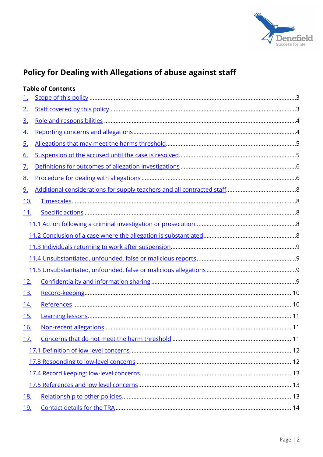

# Policy for Dealing with Allegations of abuse against staff

|            | <b>Table of Contents</b> |
|------------|--------------------------|
| <u>1.</u>  |                          |
| <u>2.</u>  |                          |
| <u>3.</u>  |                          |
| <u>4.</u>  |                          |
| <u>5.</u>  |                          |
| <u>6.</u>  |                          |
| <u>7.</u>  |                          |
| <u>8.</u>  |                          |
| <u>9.</u>  |                          |
| <u>10.</u> |                          |
| <u>11.</u> |                          |
|            |                          |
|            |                          |
|            |                          |
|            |                          |
|            |                          |
| <u>12.</u> |                          |
| 13.        |                          |
| <u>14.</u> |                          |
| 15.        |                          |
| <u>16.</u> |                          |
| <u>17.</u> |                          |
|            |                          |
|            |                          |
|            |                          |
|            |                          |
| <u>18.</u> |                          |
| <u>19.</u> |                          |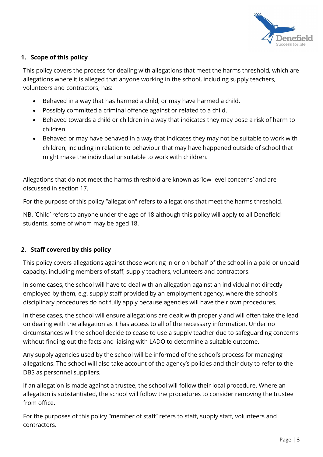

# 1. Scope of this policy

This policy covers the process for dealing with allegations that meet the harms threshold, which are allegations where it is alleged that anyone working in the school, including supply teachers, volunteers and contractors, has:

- Behaved in a way that has harmed a child, or may have harmed a child.
- Possibly committed a criminal offence against or related to a child.
- Behaved towards a child or children in a way that indicates they may pose a risk of harm to children.
- Behaved or may have behaved in a way that indicates they may not be suitable to work with children, including in relation to behaviour that may have happened outside of school that might make the individual unsuitable to work with children.

Allegations that do not meet the harms threshold are known as 'low-level concerns' and are discussed in section 17.

For the purpose of this policy "allegation" refers to allegations that meet the harms threshold.

NB. 'Child' refers to anyone under the age of 18 although this policy will apply to all Denefield students, some of whom may be aged 18.

# 2. Staff covered by this policy

This policy covers allegations against those working in or on behalf of the school in a paid or unpaid capacity, including members of staff, supply teachers, volunteers and contractors.

In some cases, the school will have to deal with an allegation against an individual not directly employed by them, e.g. supply staff provided by an employment agency, where the school's disciplinary procedures do not fully apply because agencies will have their own procedures.

In these cases, the school will ensure allegations are dealt with properly and will often take the lead on dealing with the allegation as it has access to all of the necessary information. Under no circumstances will the school decide to cease to use a supply teacher due to safeguarding concerns without finding out the facts and liaising with LADO to determine a suitable outcome.

Any supply agencies used by the school will be informed of the school's process for managing allegations. The school will also take account of the agency's policies and their duty to refer to the DBS as personnel suppliers.

If an allegation is made against a trustee, the school will follow their local procedure. Where an allegation is substantiated, the school will follow the procedures to consider removing the trustee from office.

For the purposes of this policy "member of staff" refers to staff, supply staff, volunteers and contractors.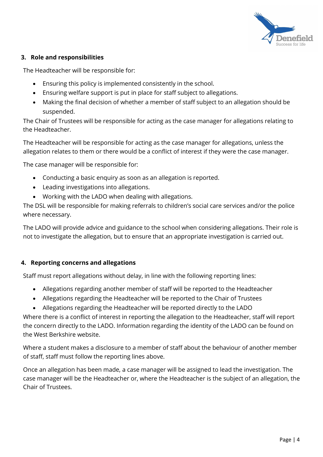

# 3. Role and responsibilities

The Headteacher will be responsible for:

- Ensuring this policy is implemented consistently in the school.
- Ensuring welfare support is put in place for staff subject to allegations.
- Making the final decision of whether a member of staff subject to an allegation should be suspended.

The Chair of Trustees will be responsible for acting as the case manager for allegations relating to the Headteacher.

The Headteacher will be responsible for acting as the case manager for allegations, unless the allegation relates to them or there would be a conflict of interest if they were the case manager.

The case manager will be responsible for:

- Conducting a basic enquiry as soon as an allegation is reported.
- Leading investigations into allegations.
- Working with the LADO when dealing with allegations.

The DSL will be responsible for making referrals to children's social care services and/or the police where necessary.

The LADO will provide advice and guidance to the school when considering allegations. Their role is not to investigate the allegation, but to ensure that an appropriate investigation is carried out.

# 4. Reporting concerns and allegations

Staff must report allegations without delay, in line with the following reporting lines:

- Allegations regarding another member of staff will be reported to the Headteacher
- Allegations regarding the Headteacher will be reported to the Chair of Trustees
- Allegations regarding the Headteacher will be reported directly to the LADO

Where there is a conflict of interest in reporting the allegation to the Headteacher, staff will report the concern directly to the LADO. Information regarding the identity of the LADO can be found on the West Berkshire website.

Where a student makes a disclosure to a member of staff about the behaviour of another member of staff, staff must follow the reporting lines above.

Once an allegation has been made, a case manager will be assigned to lead the investigation. The case manager will be the Headteacher or, where the Headteacher is the subject of an allegation, the Chair of Trustees.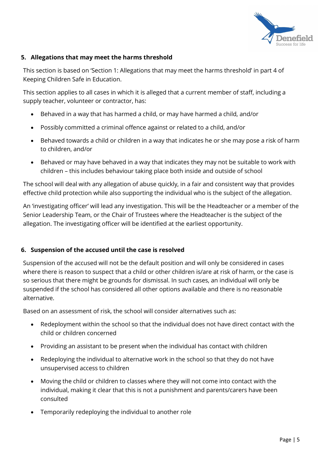

# 5. Allegations that may meet the harms threshold

This section is based on 'Section 1: Allegations that may meet the harms threshold' in part 4 of Keeping Children Safe in Education.

This section applies to all cases in which it is alleged that a current member of staff, including a supply teacher, volunteer or contractor, has:

- Behaved in a way that has harmed a child, or may have harmed a child, and/or
- Possibly committed a criminal offence against or related to a child, and/or
- Behaved towards a child or children in a way that indicates he or she may pose a risk of harm to children, and/or
- Behaved or may have behaved in a way that indicates they may not be suitable to work with children – this includes behaviour taking place both inside and outside of school

The school will deal with any allegation of abuse quickly, in a fair and consistent way that provides effective child protection while also supporting the individual who is the subject of the allegation.

An 'investigating officer' will lead any investigation. This will be the Headteacher or a member of the Senior Leadership Team, or the Chair of Trustees where the Headteacher is the subject of the allegation. The investigating officer will be identified at the earliest opportunity.

# 6. Suspension of the accused until the case is resolved

Suspension of the accused will not be the default position and will only be considered in cases where there is reason to suspect that a child or other children is/are at risk of harm, or the case is so serious that there might be grounds for dismissal. In such cases, an individual will only be suspended if the school has considered all other options available and there is no reasonable alternative.

Based on an assessment of risk, the school will consider alternatives such as:

- Redeployment within the school so that the individual does not have direct contact with the child or children concerned
- Providing an assistant to be present when the individual has contact with children
- Redeploying the individual to alternative work in the school so that they do not have unsupervised access to children
- Moving the child or children to classes where they will not come into contact with the individual, making it clear that this is not a punishment and parents/carers have been consulted
- Temporarily redeploying the individual to another role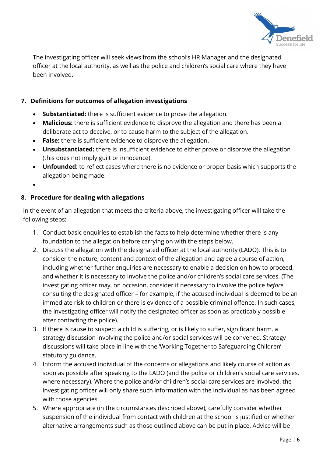

The investigating officer will seek views from the school's HR Manager and the designated officer at the local authority, as well as the police and children's social care where they have been involved.

# 7. Definitions for outcomes of allegation investigations

- Substantiated: there is sufficient evidence to prove the allegation.
- Malicious: there is sufficient evidence to disprove the allegation and there has been a deliberate act to deceive, or to cause harm to the subject of the allegation.
- False: there is sufficient evidence to disprove the allegation.
- Unsubstantiated: there is insufficient evidence to either prove or disprove the allegation (this does not imply guilt or innocence).
- Unfounded: to reflect cases where there is no evidence or proper basis which supports the allegation being made.
- $\bullet$

# 8. Procedure for dealing with allegations

In the event of an allegation that meets the criteria above, the investigating officer will take the following steps:

- 1. Conduct basic enquiries to establish the facts to help determine whether there is any foundation to the allegation before carrying on with the steps below.
- 2. Discuss the allegation with the designated officer at the local authority (LADO). This is to consider the nature, content and context of the allegation and agree a course of action, including whether further enquiries are necessary to enable a decision on how to proceed, and whether it is necessary to involve the police and/or children's social care services. (The investigating officer may, on occasion, consider it necessary to involve the police before consulting the designated officer – for example, if the accused individual is deemed to be an immediate risk to children or there is evidence of a possible criminal offence. In such cases, the investigating officer will notify the designated officer as soon as practicably possible after contacting the police).
- 3. If there is cause to suspect a child is suffering, or is likely to suffer, significant harm, a strategy discussion involving the police and/or social services will be convened. Strategy discussions will take place in line with the 'Working Together to Safeguarding Children' statutory guidance.
- 4. Inform the accused individual of the concerns or allegations and likely course of action as soon as possible after speaking to the LADO (and the police or children's social care services, where necessary). Where the police and/or children's social care services are involved, the investigating officer will only share such information with the individual as has been agreed with those agencies.
- 5. Where appropriate (in the circumstances described above), carefully consider whether suspension of the individual from contact with children at the school is justified or whether alternative arrangements such as those outlined above can be put in place. Advice will be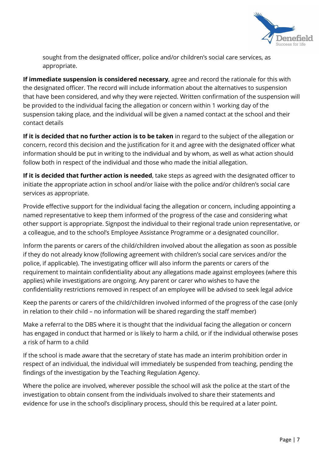

sought from the designated officer, police and/or children's social care services, as appropriate.

If immediate suspension is considered necessary, agree and record the rationale for this with the designated officer. The record will include information about the alternatives to suspension that have been considered, and why they were rejected. Written confirmation of the suspension will be provided to the individual facing the allegation or concern within 1 working day of the suspension taking place, and the individual will be given a named contact at the school and their contact details

If it is decided that no further action is to be taken in regard to the subject of the allegation or concern, record this decision and the justification for it and agree with the designated officer what information should be put in writing to the individual and by whom, as well as what action should follow both in respect of the individual and those who made the initial allegation.

If it is decided that further action is needed, take steps as agreed with the designated officer to initiate the appropriate action in school and/or liaise with the police and/or children's social care services as appropriate.

Provide effective support for the individual facing the allegation or concern, including appointing a named representative to keep them informed of the progress of the case and considering what other support is appropriate. Signpost the individual to their regional trade union representative, or a colleague, and to the school's Employee Assistance Programme or a designated councillor.

Inform the parents or carers of the child/children involved about the allegation as soon as possible if they do not already know (following agreement with children's social care services and/or the police, if applicable). The investigating officer will also inform the parents or carers of the requirement to maintain confidentiality about any allegations made against employees (where this applies) while investigations are ongoing. Any parent or carer who wishes to have the confidentiality restrictions removed in respect of an employee will be advised to seek legal advice

Keep the parents or carers of the child/children involved informed of the progress of the case (only in relation to their child – no information will be shared regarding the staff member)

Make a referral to the DBS where it is thought that the individual facing the allegation or concern has engaged in conduct that harmed or is likely to harm a child, or if the individual otherwise poses a risk of harm to a child

If the school is made aware that the secretary of state has made an interim prohibition order in respect of an individual, the individual will immediately be suspended from teaching, pending the findings of the investigation by the Teaching Regulation Agency.

Where the police are involved, wherever possible the school will ask the police at the start of the investigation to obtain consent from the individuals involved to share their statements and evidence for use in the school's disciplinary process, should this be required at a later point.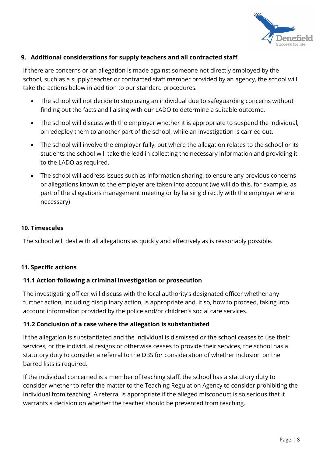

#### 9. Additional considerations for supply teachers and all contracted staff

If there are concerns or an allegation is made against someone not directly employed by the school, such as a supply teacher or contracted staff member provided by an agency, the school will take the actions below in addition to our standard procedures.

- The school will not decide to stop using an individual due to safeguarding concerns without finding out the facts and liaising with our LADO to determine a suitable outcome.
- The school will discuss with the employer whether it is appropriate to suspend the individual, or redeploy them to another part of the school, while an investigation is carried out.
- The school will involve the employer fully, but where the allegation relates to the school or its students the school will take the lead in collecting the necessary information and providing it to the LADO as required.
- The school will address issues such as information sharing, to ensure any previous concerns or allegations known to the employer are taken into account (we will do this, for example, as part of the allegations management meeting or by liaising directly with the employer where necessary)

#### 10. Timescales

The school will deal with all allegations as quickly and effectively as is reasonably possible.

#### 11. Specific actions

#### 11.1 Action following a criminal investigation or prosecution

The investigating officer will discuss with the local authority's designated officer whether any further action, including disciplinary action, is appropriate and, if so, how to proceed, taking into account information provided by the police and/or children's social care services.

#### 11.2 Conclusion of a case where the allegation is substantiated

If the allegation is substantiated and the individual is dismissed or the school ceases to use their services, or the individual resigns or otherwise ceases to provide their services, the school has a statutory duty to consider a referral to the DBS for consideration of whether inclusion on the barred lists is required.

If the individual concerned is a member of teaching staff, the school has a statutory duty to consider whether to refer the matter to the Teaching Regulation Agency to consider prohibiting the individual from teaching. A referral is appropriate if the alleged misconduct is so serious that it warrants a decision on whether the teacher should be prevented from teaching.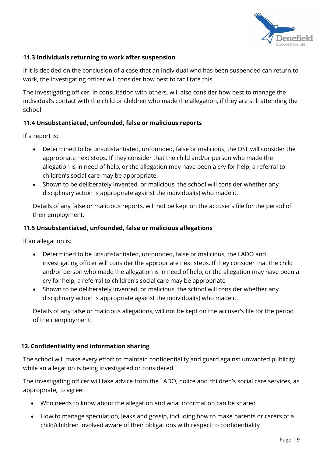

# 11.3 Individuals returning to work after suspension

If it is decided on the conclusion of a case that an individual who has been suspended can return to work, the investigating officer will consider how best to facilitate this.

The investigating officer, in consultation with others, will also consider how best to manage the individual's contact with the child or children who made the allegation, if they are still attending the school.

# 11.4 Unsubstantiated, unfounded, false or malicious reports

If a report is:

- Determined to be unsubstantiated, unfounded, false or malicious, the DSL will consider the appropriate next steps. If they consider that the child and/or person who made the allegation is in need of help, or the allegation may have been a cry for help, a referral to children's social care may be appropriate.
- Shown to be deliberately invented, or malicious, the school will consider whether any disciplinary action is appropriate against the individual(s) who made it.

Details of any false or malicious reports, will not be kept on the accuser's file for the period of their employment.

# 11.5 Unsubstantiated, unfounded, false or malicious allegations

If an allegation is:

- Determined to be unsubstantiated, unfounded, false or malicious, the LADO and investigating officer will consider the appropriate next steps. If they consider that the child and/or person who made the allegation is in need of help, or the allegation may have been a cry for help, a referral to children's social care may be appropriate
- Shown to be deliberately invented, or malicious, the school will consider whether any disciplinary action is appropriate against the individual(s) who made it.

Details of any false or malicious allegations, will not be kept on the accuser's file for the period of their employment.

# 12. Confidentiality and information sharing

The school will make every effort to maintain confidentiality and guard against unwanted publicity while an allegation is being investigated or considered.

The investigating officer will take advice from the LADO, police and children's social care services, as appropriate, to agree:

- Who needs to know about the allegation and what information can be shared
- How to manage speculation, leaks and gossip, including how to make parents or carers of a child/children involved aware of their obligations with respect to confidentiality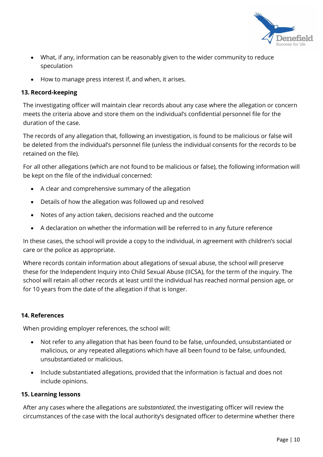

- What, if any, information can be reasonably given to the wider community to reduce speculation
- How to manage press interest if, and when, it arises.

# 13. Record-keeping

The investigating officer will maintain clear records about any case where the allegation or concern meets the criteria above and store them on the individual's confidential personnel file for the duration of the case.

The records of any allegation that, following an investigation, is found to be malicious or false will be deleted from the individual's personnel file (unless the individual consents for the records to be retained on the file).

For all other allegations (which are not found to be malicious or false), the following information will be kept on the file of the individual concerned:

- A clear and comprehensive summary of the allegation
- Details of how the allegation was followed up and resolved
- Notes of any action taken, decisions reached and the outcome
- A declaration on whether the information will be referred to in any future reference

In these cases, the school will provide a copy to the individual, in agreement with children's social care or the police as appropriate.

Where records contain information about allegations of sexual abuse, the school will preserve these for the Independent Inquiry into Child Sexual Abuse (IICSA), for the term of the inquiry. The school will retain all other records at least until the individual has reached normal pension age, or for 10 years from the date of the allegation if that is longer.

# 14. References

When providing employer references, the school will:

- Not refer to any allegation that has been found to be false, unfounded, unsubstantiated or malicious, or any repeated allegations which have all been found to be false, unfounded, unsubstantiated or malicious.
- Include substantiated allegations, provided that the information is factual and does not include opinions.

# 15. Learning lessons

After any cases where the allegations are substantiated, the investigating officer will review the circumstances of the case with the local authority's designated officer to determine whether there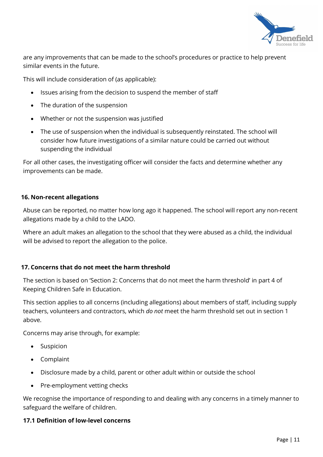

are any improvements that can be made to the school's procedures or practice to help prevent similar events in the future.

This will include consideration of (as applicable):

- Issues arising from the decision to suspend the member of staff
- The duration of the suspension
- Whether or not the suspension was justified
- The use of suspension when the individual is subsequently reinstated. The school will consider how future investigations of a similar nature could be carried out without suspending the individual

For all other cases, the investigating officer will consider the facts and determine whether any improvements can be made.

#### 16. Non-recent allegations

Abuse can be reported, no matter how long ago it happened. The school will report any non-recent allegations made by a child to the LADO.

Where an adult makes an allegation to the school that they were abused as a child, the individual will be advised to report the allegation to the police.

#### 17. Concerns that do not meet the harm threshold

The section is based on 'Section 2: Concerns that do not meet the harm threshold' in part 4 of Keeping Children Safe in Education.

This section applies to all concerns (including allegations) about members of staff, including supply teachers, volunteers and contractors, which do not meet the harm threshold set out in section 1 above.

Concerns may arise through, for example:

- Suspicion
- Complaint
- Disclosure made by a child, parent or other adult within or outside the school
- Pre-employment vetting checks

We recognise the importance of responding to and dealing with any concerns in a timely manner to safeguard the welfare of children.

#### 17.1 Definition of low-level concerns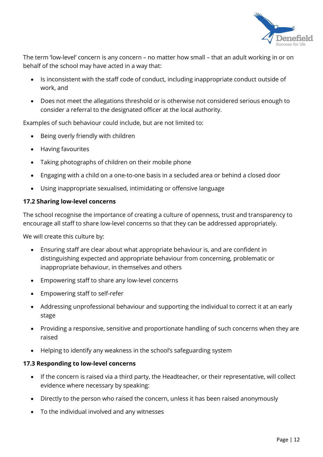

The term 'low-level' concern is any concern – no matter how small – that an adult working in or on behalf of the school may have acted in a way that:

- Is inconsistent with the staff code of conduct, including inappropriate conduct outside of work, and
- Does not meet the allegations threshold or is otherwise not considered serious enough to consider a referral to the designated officer at the local authority.

Examples of such behaviour could include, but are not limited to:

- Being overly friendly with children
- Having favourites
- Taking photographs of children on their mobile phone
- Engaging with a child on a one-to-one basis in a secluded area or behind a closed door
- Using inappropriate sexualised, intimidating or offensive language

#### 17.2 Sharing low-level concerns

The school recognise the importance of creating a culture of openness, trust and transparency to encourage all staff to share low-level concerns so that they can be addressed appropriately.

We will create this culture by:

- Ensuring staff are clear about what appropriate behaviour is, and are confident in distinguishing expected and appropriate behaviour from concerning, problematic or inappropriate behaviour, in themselves and others
- Empowering staff to share any low-level concerns
- Empowering staff to self-refer
- Addressing unprofessional behaviour and supporting the individual to correct it at an early stage
- Providing a responsive, sensitive and proportionate handling of such concerns when they are raised
- Helping to identify any weakness in the school's safeguarding system

#### 17.3 Responding to low-level concerns

- If the concern is raised via a third party, the Headteacher, or their representative, will collect evidence where necessary by speaking:
- Directly to the person who raised the concern, unless it has been raised anonymously
- To the individual involved and any witnesses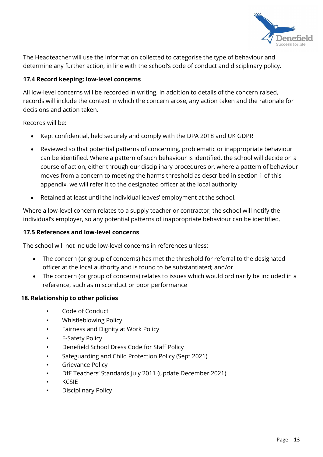

The Headteacher will use the information collected to categorise the type of behaviour and determine any further action, in line with the school's code of conduct and disciplinary policy.

# 17.4 Record keeping: low-level concerns

All low-level concerns will be recorded in writing. In addition to details of the concern raised, records will include the context in which the concern arose, any action taken and the rationale for decisions and action taken.

Records will be:

- Kept confidential, held securely and comply with the DPA 2018 and UK GDPR
- Reviewed so that potential patterns of concerning, problematic or inappropriate behaviour can be identified. Where a pattern of such behaviour is identified, the school will decide on a course of action, either through our disciplinary procedures or, where a pattern of behaviour moves from a concern to meeting the harms threshold as described in section 1 of this appendix, we will refer it to the designated officer at the local authority
- Retained at least until the individual leaves' employment at the school.

Where a low-level concern relates to a supply teacher or contractor, the school will notify the individual's employer, so any potential patterns of inappropriate behaviour can be identified.

# 17.5 References and low-level concerns

The school will not include low-level concerns in references unless:

- The concern (or group of concerns) has met the threshold for referral to the designated officer at the local authority and is found to be substantiated; and/or
- The concern (or group of concerns) relates to issues which would ordinarily be included in a reference, such as misconduct or poor performance

# 18. Relationship to other policies

- Code of Conduct
- Whistleblowing Policy
- Fairness and Dignity at Work Policy
- **E-Safety Policy**
- Denefield School Dress Code for Staff Policy
- Safeguarding and Child Protection Policy (Sept 2021)
- **Grievance Policy**
- DfE Teachers' Standards July 2011 (update December 2021)
- KCSIE
- Disciplinary Policy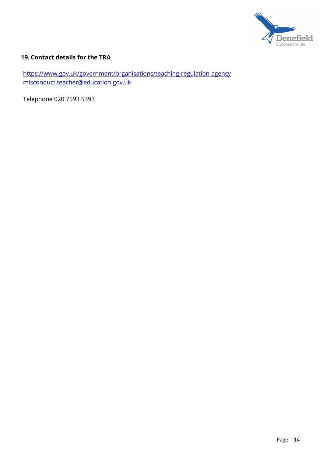

# 19. Contact details for the TRA

https://www.gov.uk/government/organisations/teaching-regulation-agency misconduct.teacher@education.gov.uk

Telephone 020 7593 5393